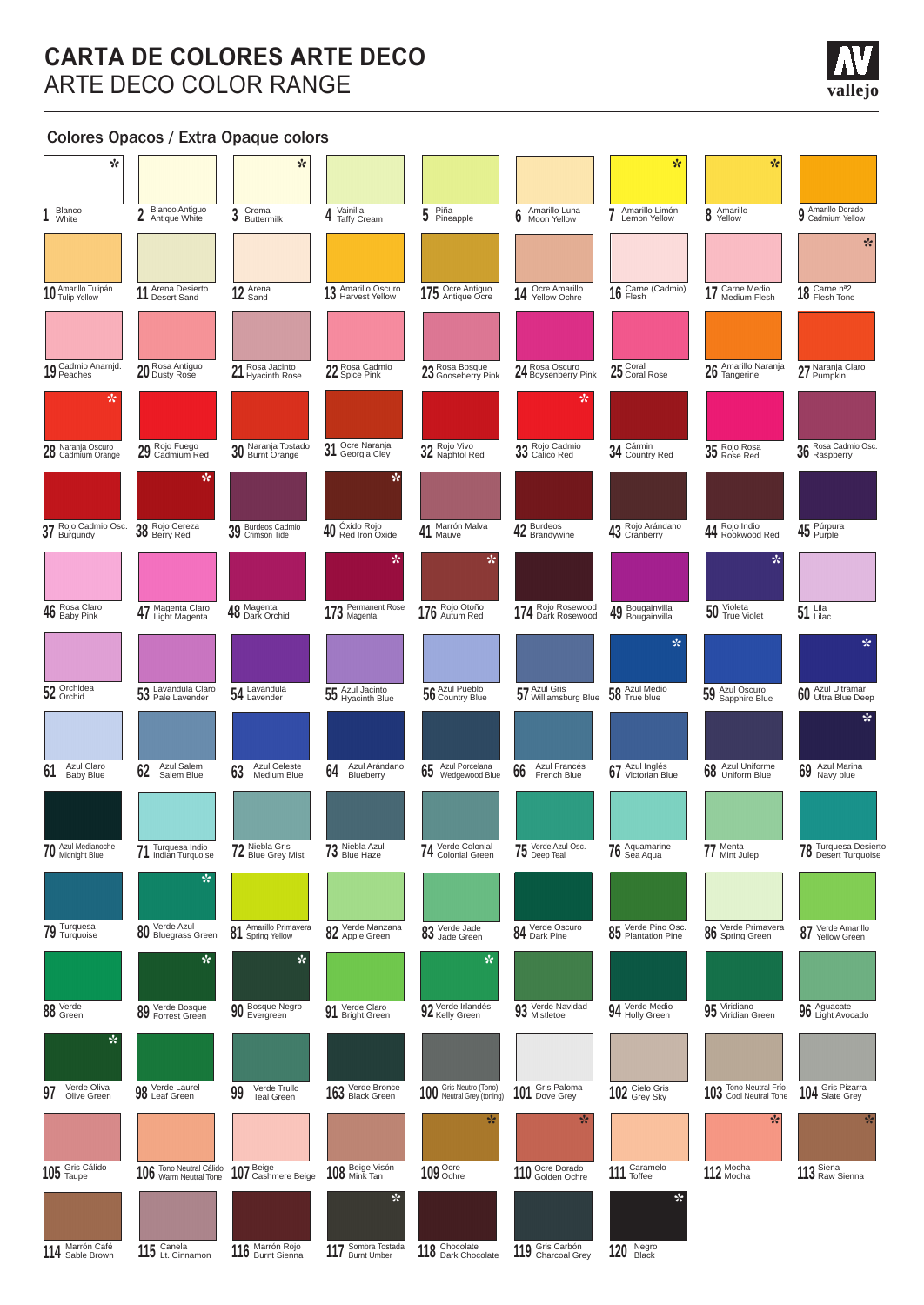# **CARTA DE COLORES ARTE DECO** ARTE DECO COLOR RANGE

### Colores Opacos / Extra Opaque colors

| ☆                                   |                                        | ☆                                       |                                       |                                                 |                                       | ☆                                        | ☆                                  |                                                                                |
|-------------------------------------|----------------------------------------|-----------------------------------------|---------------------------------------|-------------------------------------------------|---------------------------------------|------------------------------------------|------------------------------------|--------------------------------------------------------------------------------|
| Blanco<br>White                     | <b>Blanco Antiguo</b><br>Antique White | Crema<br>3<br>Buttermilk                | Vainilla<br><b>Taffy Cream</b>        | Piña<br>Pineapple<br>5                          | Amarillo Luna<br>Moon Yellow          | Amarillo Limón<br>Lemon Yellow           | Amarillo<br>8<br>Yellow            | <b>Q</b> Amarillo Dorado<br>Cadmium Yellow                                     |
|                                     |                                        |                                         |                                       |                                                 |                                       |                                          |                                    | ☆                                                                              |
| 10 Amarillo Tulipán                 | Arena Desierto<br>11 Desert Sand       | 12 Arena                                | Amarillo Oscuro<br>13 Amarillo Oscuro | 175 Ocre Antiguo                                | Ocre Amarillo<br>14 Vellow Ochre      | 16 Carne (Cadmio)                        | 17 Carne Medio                     | 18 Carne n <sup>a2</sup><br>18 Flesh Tone                                      |
|                                     |                                        |                                         |                                       |                                                 |                                       |                                          |                                    |                                                                                |
| 19 Cadmio Anarnjd.                  | 20 Rosa Antiguo                        | 21 Rosa Jacinto<br>21 Hyacinth Rose     | 22 Rosa Cadmio                        | 23 Rosa Bosque<br>23 Gooseberry Pink            | 24 Rosa Oscuro<br>24 Boysenberry Pink | 25 Coral Rose                            | 26 Amarillo Naranja                | 27 Naranja Claro                                                               |
| ☆.                                  |                                        |                                         |                                       |                                                 | ☆                                     |                                          |                                    |                                                                                |
| Naranja Oscuro<br>28 Naranja Uscuro | 29 Rojo Fuego<br>29 Cadmium Red        | 30 Naranja Tostado                      | Ocre Naranja<br>31<br>Georgia Cley    | 32 Rojo Vivo<br>32 Naphtol Red                  | 33 Rojo Cadmio                        | 34 Cármin<br>34 Country Red              | 35 Rojo Rosa                       | 36 Rosa Cadmio Osc.                                                            |
| Rojo Cadmio Osc.                    | ☆                                      |                                         | $\ast$                                | Marrón Malva                                    |                                       |                                          |                                    |                                                                                |
| $37$ Rojo Cauri                     | 38 Rojo Cereza<br>38 Berry Red         | 39 Burdeos Cadmio                       | 40 Óxido Rojo<br>40 Red Iron Oxide    | 41<br>Mauve                                     | 42 Burdeos<br>Brandywine              | 43 Rojo Arándano                         | 44 Rojo Indio<br>44 Rookwood Red   | 45 Púrpura                                                                     |
| Rosa Claro                          |                                        |                                         | ☆                                     | ☆                                               |                                       |                                          | ☆                                  |                                                                                |
| 46 Rosa Clare                       | 47 Magenta Claro                       | 48 Magenta<br>48 Dark Orchid            | 173 Permanent Rose                    | 176 Rojo Otoño                                  | 174 Rojo Rosewood                     | 49 Bougainvilla                          | 50 Yioleta<br>True Violet          | $51$ Lilac                                                                     |
|                                     |                                        |                                         |                                       |                                                 |                                       | ☆                                        |                                    | ☆                                                                              |
| 52 Orchidea                         | 53 Lavandula Claro                     | 54 Lavandula                            | 55 Azul Jacinto<br>55 Hyacinth Blue   | 56 Azul Pueblo                                  | 57 Azul Gris<br>57 Williamsburg Blue  | 58 Azul Medio                            | 59 Azul Oscuro<br>59 Sapphire Blue | 60 Azul Ultramar<br>60 Ultra Blue Deep<br>☆                                    |
| Azul Claro                          | Azul Salem                             | <b>Azul Celeste</b>                     | Azul Arándano                         | Azul Porcelana                                  | Azul Francés                          |                                          | Azul Uniforme                      |                                                                                |
| 61<br><b>Baby Blue</b>              | 62<br>Salem Blue                       | 63<br>Medium Blue                       | 64<br>Blueberry                       | 65<br>Wedgewood Blue                            | 66<br>French Blue                     | 67 Azul Inglés<br>67 Victorian Blue      | 68<br>Uniform Blue                 | 69 Azul Marina                                                                 |
| 70 Azul Medianoche                  | Turquesa Indio                         | 72 Niebla Gris<br>72 Blue Grey Mist     | 73 Niebla Azul                        | Verde Colonial                                  | Verde Azul Osc.<br>$75\,$ Verde Azul  | 76 Aquamarine                            | 77 Menta<br>77 Mint Julep          | Turquesa Desierto<br><b>70</b> Iurquesa Desierte<br><b>70</b> Desert Turquoise |
|                                     | 71 Turquesa indio<br>☆                 |                                         |                                       | 74 Colonial Green                               |                                       |                                          |                                    |                                                                                |
| <b>79</b> Turquesa                  | 80 Verde Azul<br>80 Bluegrass Green    |                                         |                                       |                                                 | 84 Verde Oscuro                       |                                          |                                    |                                                                                |
|                                     |                                        | 81 Amarillo Primavera<br>☆              | 82 Verde Manzana<br>82 Apple Green    | 03 Verde Jade<br>03 Jade Green<br>☆             |                                       | 85 Verde Pino Osc.<br>85 Plantation Pine | 86 Verde Primavera                 | 87 Verde Amarillo                                                              |
|                                     | ☆                                      |                                         |                                       |                                                 |                                       |                                          |                                    |                                                                                |
| 00 Verde<br>00 Green                | <b>89</b> Verde Bosque                 | 90 Bosque Negro                         | 91 Verde Claro<br>Bright Green        | 92 Verde Irlandés                               | 93 Verde Navidad                      | 94 Verde Medio                           | 95 Viridiano<br>95 Viridian Green  | 96 Aguacate<br>96 Light Avocado                                                |
| $\star$                             |                                        |                                         |                                       |                                                 |                                       |                                          |                                    |                                                                                |
| Verde Oliva<br>97<br>Olive Green    | 98 Verde Laurel                        | Verde Trullo<br>99<br><b>Teal Green</b> | 163 Verde Bronce                      | 100 Gris Neutro (Tono)<br>Neutral Grey (toning) | 101 Gris Paloma                       | 102 Grey Sky                             | 103 Tono Neutral Frío              | 104 Gris Pizarra                                                               |
|                                     |                                        |                                         |                                       | ☆                                               | ☆                                     |                                          | ☆                                  | ☆                                                                              |
| 105 Gris Cálido                     | 106 Tono Neutral Cálido                | 107 Beige<br>107 Cashmere Beige         | 108 Beige Visón                       | 109 Ochre                                       | 110 Ocre Dorado                       | 111 Caramelo                             | 112 Mocha                          | 113 Siena<br>113 Raw Sienna                                                    |
|                                     |                                        |                                         | $\star$                               |                                                 |                                       | $\star$                                  |                                    |                                                                                |
| 114 Marrón Café<br>114 Sable Brown  | 115 Canela<br>115 Lt. Cinnamon         | 116 Marrón Rojo                         | 117 Sombra Tostada                    | 118 Chocolate<br>118 Dark Chocolate             | 119 Gris Carbón<br>119 Charcoal Grey  | 120 Negro                                |                                    |                                                                                |